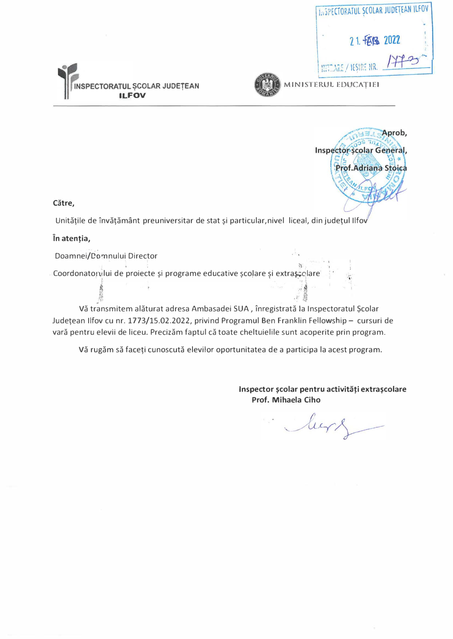| <b>INSPECTORATUL SCOLAR JUDETEAN ILFOV</b> |  |
|--------------------------------------------|--|
|                                            |  |
| 21. 拓星 2022                                |  |
| MITLARE / IESIRE NR. <del>177</del>        |  |





. MINISTERUL EDUCATIEI

Aprob, **Inspector scolar General,** Prof.Adriana Stoica  $\sim$  /

Către,

Unităţile de învăţământ preuniversitar de stat şi particular,nivel liceal, din judeţul Ilfov

În atenţia,

Doamnei/Domnului Director

Coordonatorului de proiecte și programe educative școlare și extrașe dare  $t \rightarrow t$  , where  $\mathcal{L}$  is the set of  $\mathcal{L}$  is the set of  $\mathcal{L}$  is the set of  $\mathcal{L}$ 

 $\begin{picture}(100,100) \put(0,0){\vector(1,0){100}} \put(10,0){\vector(1,0){100}} \put(10,0){\vector(1,0){100}} \put(10,0){\vector(1,0){100}} \put(10,0){\vector(1,0){100}} \put(10,0){\vector(1,0){100}} \put(10,0){\vector(1,0){100}} \put(10,0){\vector(1,0){100}} \put(10,0){\vector(1,0){100}} \put(10,0){\vector(1,0){100}} \put(10,0){\vector(1,0){100$ 

Vă transmitem alăturat adresa Ambasadei SUA , înregistrată la Inspectoratul Şcolar Județean Ilfov cu nr. 1773/15.02.2022, privind Programul Ben Franklin Fellowship - cursuri de vară pentru elevii de liceu. Precizăm faptul că toate cheltuielile sunt acoperite prin program.

Vă rugăm să faceţi cunoscută elevilor oportunitatea de a participa la acest program.

Inspector şcolar pentru activităţi extraşcolare Prof. Mihaela Ciho

 $\tilde{f}_f$ 

lurt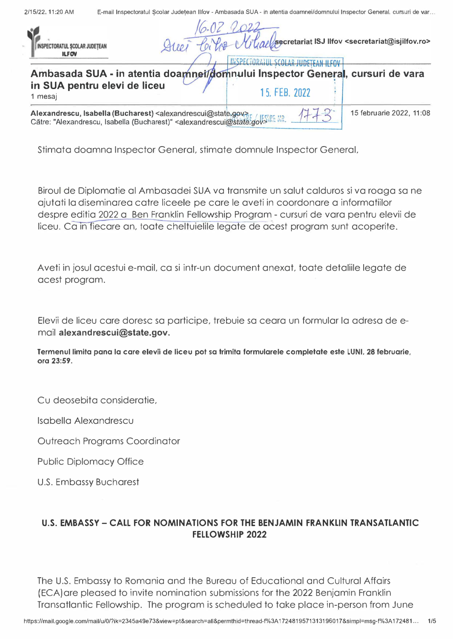| 2/15/22, 11:20 AM<br>E-mail Inspectoratul Scolar Judetean Ilfov - Ambasada SUA - in atentia doamnei/domnului Inspector General, cursuri de var |  |
|------------------------------------------------------------------------------------------------------------------------------------------------|--|
|------------------------------------------------------------------------------------------------------------------------------------------------|--|

| TORATUL SCOLAR JUDETEAN<br><b>ILFOV</b>                                                                                                                                                                                                         | Artin / secretariat ISJ Ilfov <secretariat@isjilfov.ro></secretariat@isjilfov.ro>              |
|-------------------------------------------------------------------------------------------------------------------------------------------------------------------------------------------------------------------------------------------------|------------------------------------------------------------------------------------------------|
| in SUA pentru elevi de liceu<br>1 mesaj                                                                                                                                                                                                         | Ambasada SUA - in atentia doamnei/domnului Inspector General, cursuri de vara<br>15, FEB, 2022 |
| Alexandrescu, Isabella (Bucharest) <alexandrescui@state.gov><br/>Către: "Alexandrescu, Isabella (Bucharest)" <alexandrescui@state.gov3re nr.<="" th=""><th>15 februarie 2022, 11:08</th></alexandrescui@state.gov3re></alexandrescui@state.gov> | 15 februarie 2022, 11:08                                                                       |

Stimata doamna Inspector General, stimate domnule Inspector General,

Biroul de Diplomatie al Ambasadei SUA va transmite un salut calduros si va roaga sa ne ajutati la diseminarea catre liceele pe care le aveti in coordonare a informatiilor despre editia 2022 a Ben Franklin Fellowship Program - cursuri de vara pentru elevii de liceu. Ca in fiecare an, toate cheltuielile legate de acest program sunt acoperite.

Aveti in josul acestui e-mail, ca si intr-un document anexat, toate detaliile legate de acest program.

Elevii de liceu care doresc sa participe, trebuie sa ceara un formular la adresa de email alexandrescui@state.gov.

Termenul limita pana la care elevii de liceu pot sa trimita formularele completate este LUNI, 28 februarie, ora 23:59.

Cu deosebita consideratie,

lsabella Alexandrescu

Outreach Programs Coordinator

Public Diplomacy Office

U.S. Embassy Bucharest

## U.S. EMBASSY- CALL FOR NOMINATIONS FOR THE BENJAMIN FRANKLIN TRANSATLANTIC FELLOWSHIP 2022

The U.S. Embassy to Romania and the Bureau of Educational and Cultural Affairs (ECA)are pleased to invite nomination submissions for the 2022 Benjamin Franklin Transatlantic Fellowship. The program is scheduled to take place in-person from June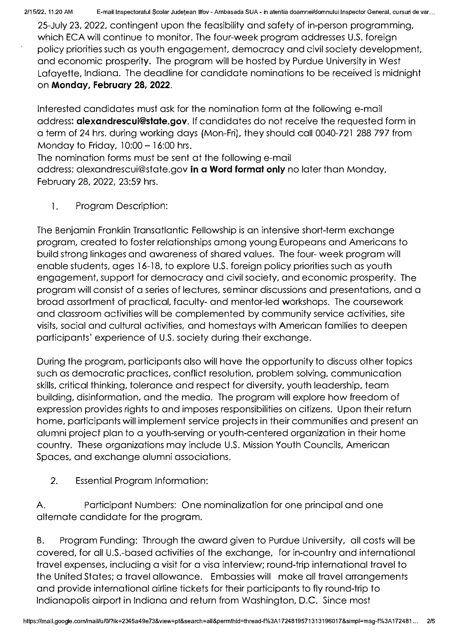2/15/22, 11:20 AM E-mail Inspectoratul Şcolar Judeţean Ilfov- Ambasada SUA- in atentia doamnei/domnului Inspector General, cursuri de var. ..

25-July 23, 2022, contingent upon the feasibility and safety of in-person programming, which ECA will continue to monitor. The four-week program addresses U.S. foreign policy priorities such as youth engagement, democracy and civil society development, and economic prosperity. The program will be hosted by Purdue University in West Lafayette, Indiana. The deadline for candidate nominations to be received is midnight on Monday, February 28, 2022.

Interested candidates must ask for the nomination form at the following e-mail address: **alexandrescui@state.gov**. If candidates do not receive the requested form in a term of 24 hrs. during working days (Mon-Fri), they should caii 0040-721 288 797 from Monday to Friday,  $10:00 - 16:00$  hrs.

The nomination forms must be sent at the following e-mail

address: alexandrescui@state.gov in a Word format only no later than Monday, February 28, 2022, 23:59 hrs.

1. Program Description:

The Benjamin Franklin Transatlantic Fellowship is an intensive short-term exchange program, created to foster relationships among young Europeans and Americans to build strong linkages and awareness of shared values. The four- week program will enable students, ages 16-18, to explore U.S. foreign policy priorities such as youth engagement, support for democracy and civil society, and economic prosperity. The program will consist of a series of lectures, seminar discussions and presentations, and a broad assortment of practical, faculty- and mentor-led workshops. The coursework and classroom activities will be complemented by community service activities, site visits, social and cultural activities, and homestays with American families to deepen participants' experience of U.S. society during their exchange.

During the program, participants also will have the opportunity to discuss other topics such as democratic practices, conflict resolution, problem solving, communication skills, critical thinking, tolerance and respect for diversity, youth leadership, team building, disinformation, and the media. The program will explore how freedom of expression provides rights to and imposes responsibilities on citizens. Upon their return home, participants will implement service projects in their communities and present an alumni project plan to a youth-serving or youth-centered organization in their home country. These organizations may include U.S. Mission Youth Councils, American Spaces, and exchange alumni associations.

2. Essential Program lnformation:

A. Participant Numbers: One nominalization for one principal and one alternate candidate for the program.

B. Program Funding: Through the award given to Purdue University, ali costs will be covered, for ali U.S.-based activities of the exchange, for in-country and international travel expenses, including a visit for a visa interview; round-trip international travel to the United States; a travel allowance. Embassies will make ali travel arrangements and provide international airline tickets for their participants to fly round-trip to lndianapolis airport in Indiana and return from Washington, D.C. Since most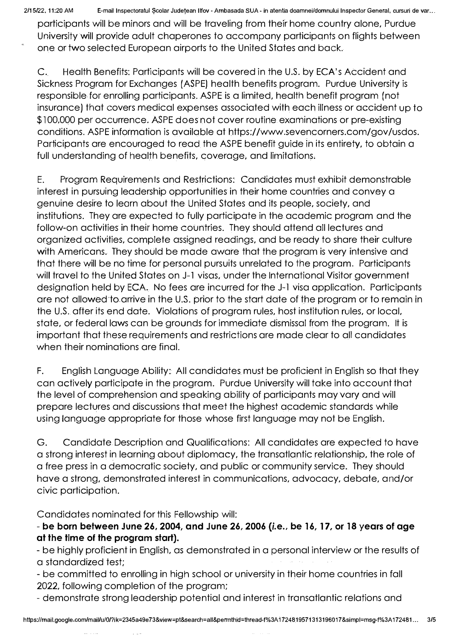2/15/22, 11:20 AM E-mail Inspectoratul Scolar Judeţean Ilfov - Ambasada SUA - in atentia doamnei/domnului Inspector General, cursuri de var...

participants will be minors and will be traveling from their home country alone, Purdue University will provide adult chaperones to accompany participants on flights between one or two selected European airports to the United States and back.

C. Health Benefits: Participants will be covered in the U.S. by ECA's Accident and Sickness Program for Exchanges (ASPE) health benefits program. Purdue University is responsible for enrolling participants. ASPE is a limited, health benefit program (not insurance) that covers medical expenses associated with each illness or accident up to \$1 00,000 per occurrence. ASPE does not cover routine examinations or pre-existing conditions. ASPE information is available at https://www.sevencorners.com/gov/usdos. Participants are encouraged to read the ASPE benefit guide in its entirety, to obtain a full understanding of health benefits, coverage, and limitations.

E. Program Requirements and Restrictions: Candidates must exhibit demonstrable interest in pursuing leadership opportunities in their home countries and convey a genuine desire to learn about the United States and its people, society, and institutions. They are expected to fully participate in the academic program and the follow-on activities in their home countries. They should attend all lectures and organized activities, complete assigned readings, and be ready to share their culture with Americans. They should be mode aware that the program is very intensive and that there will be no time for personal pursuits unrelated to the program. Participants will travel to the United States on J-1 visas, under the International Visitor government designation held by ECA. No fees are incurred for the J-1 visa application. Participants are not allowed to arrive in the U.S. prior to the start date of the program or to remain in the U.S. after its end date. Violations of program rules, host institution rules, or local, state, or federal laws can be grounds for immediate dismissal from the program. It is important that these requirements and restrictions are made clear to ali candidates when their nominations are final.

F. English Language Ability: Ali candidates must be proficient in English so that they can actively participate in the program. Purdue University will take into account that the level of comprehension and speaking ability of participants may vary and will prepare lectures and discussions that meet the highest academic standards while using language appropriate for those whose first language may not be English.

G. Candidate Description and Qualifications: Ali candidates are expected to have a strong interest in learning about diplomacy, the transatlantic relationship, the role of a free press in a democratic society, and public or community service. They should have a strong, demonstrated interest in communications, advocacy, debate, and/or civic participation.

Candidates nominated for this Fellowship will:

- be born between June 26, 2004, and June 26, 2006 {i.e., be 16, 17, or 18 years of age at the time of the program start).

- be highly proficient in English, as demonstrated in a personal interview or the results of a standardized test;

- be committed to enrolling in high school or university in their home countries in fali 2022, following completion of the program;

- demonstrate strong leadership potential and interest in transatlantic relations and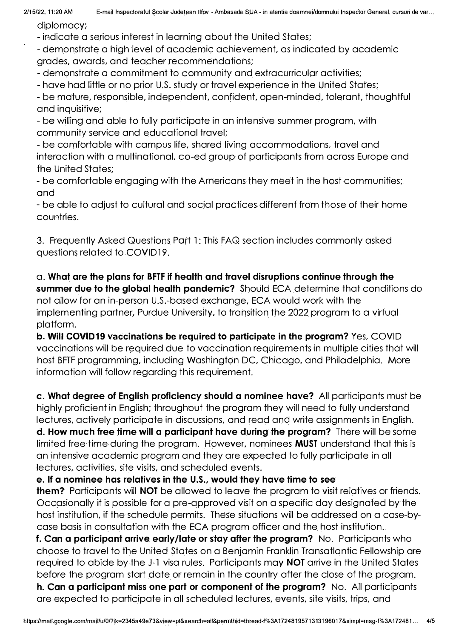diplomacy;

- indicate a serious interest in learning about the United States;

- demonstrate a high level of academic achievement, as indicated by academic grades, awards, and teacher recommendations;

- demonstrate a commitment to community and extracurricular activities;

- have had little or no prior U.S. study or travel experience in the United States;

- be mature, responsible, independent, confident, open-minded, tolerant, thoughtful and inquisitive;

- be willing and able to fully participate in an intensive summer program, with community service and educational travel;

- be comfortable with campus life, shared living accommodations, travel and interaction with a multinational. co-ed group of participants from across Europe and the United States;

- be comfortable engaging with the Americans they meet in the host communities; and

- be able to adjust to cultural and social practices different from those of their home countries.

3. Frequently Asked Questions Port 1: This FAQ section includes commonly asked questions related to COVID 19.

a. What are the plans for BFTF if health and travel disruptions continue through the summer due to the global health pandemic? Should ECA determine that conditions do not allow for an in-person U.S.-based exchange, ECA would work with the implementing partner, Purdue University, to transition the 2022 program to a virtual platform.

b. Will COVID19 vaccinations be required to participate in the program? Yes, COVID vaccinations will be required due to vaccination requirements in multiple cities that will host BFTF programming, including Washington DC, Chicago, and Philadelphia. More information will follow regarding this requirement.

c. What degree of English proficiency should a nominee have? Ali participants must be highly proficient in English; throughout the program they will need to fully understand lectures, actively participate in discussions, and read and write assignments in English.

d. How much free time will a participant have during the program? There will be some limited free time during the program. However, nominees MUST understand that this is an intensive academic program and they are expected to fully participate in ali lectures, activities, site visits, and scheduled events.

e. lf a nominee has relatives in the U.S., would they have time to see

them? Participants will NOT be allowed to leave the program to visit relatives or friends. Occasionally it is possible for a pre-approved visit on a specific day designated by the host institution, if the schedule permits. These situations will be addressed on a case-bycase basis in consultation with the ECA program officer and the host institution.

f. Can a participant arrive early/late or stay after the program? No. Participants who choose to travel to the United States on a Benjamin Franklin Transatlantic Fellowship are required to abide by the J-1 visa rules. Participants may NOT arrive in the United States before the program start date or remain in the country after the close of the program. h. Can a participant miss one part or component of the program? No. All participants are expected to participate in ali scheduled lectures, events, site visits, trips, and